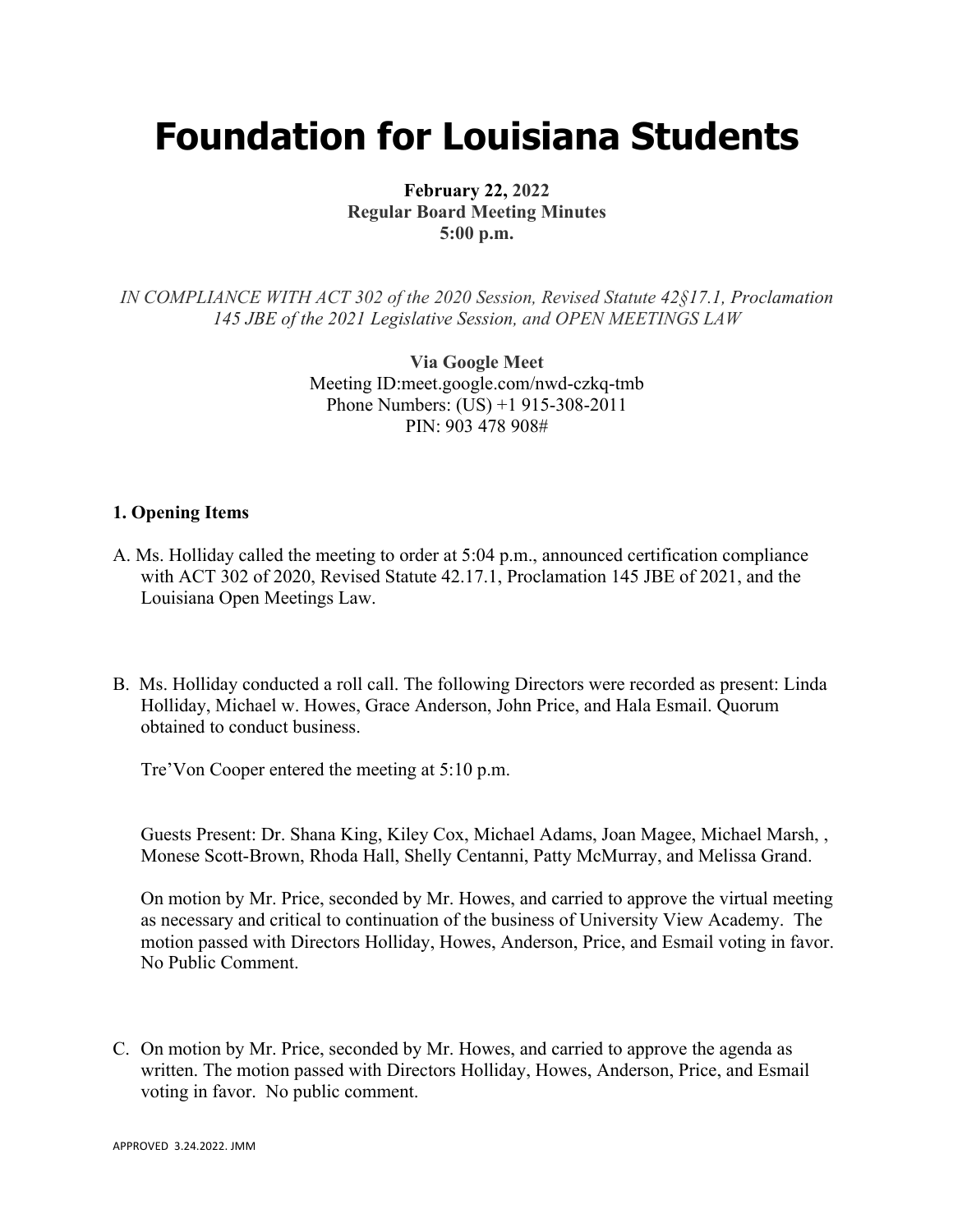# **Foundation for Louisiana Students**

**February 22, 2022 Regular Board Meeting Minutes 5:00 p.m.**

*IN COMPLIANCE WITH ACT 302 of the 2020 Session, Revised Statute 42§17.1, Proclamation 145 JBE of the 2021 Legislative Session, and OPEN MEETINGS LAW*

> **Via Google Meet**  Meeting ID:meet.google.com/nwd-czkq-tmb Phone Numbers: (US) +1 915-308-2011 PIN: 903 478 908#

### **1. Opening Items**

- A. Ms. Holliday called the meeting to order at 5:04 p.m., announced certification compliance with ACT 302 of 2020, Revised Statute 42.17.1, Proclamation 145 JBE of 2021, and the Louisiana Open Meetings Law.
- B. Ms. Holliday conducted a roll call. The following Directors were recorded as present: Linda Holliday, Michael w. Howes, Grace Anderson, John Price, and Hala Esmail. Quorum obtained to conduct business.

Tre'Von Cooper entered the meeting at 5:10 p.m.

Guests Present: Dr. Shana King, Kiley Cox, Michael Adams, Joan Magee, Michael Marsh, , Monese Scott-Brown, Rhoda Hall, Shelly Centanni, Patty McMurray, and Melissa Grand.

On motion by Mr. Price, seconded by Mr. Howes, and carried to approve the virtual meeting as necessary and critical to continuation of the business of University View Academy. The motion passed with Directors Holliday, Howes, Anderson, Price, and Esmail voting in favor. No Public Comment.

C. On motion by Mr. Price, seconded by Mr. Howes, and carried to approve the agenda as written. The motion passed with Directors Holliday, Howes, Anderson, Price, and Esmail voting in favor. No public comment.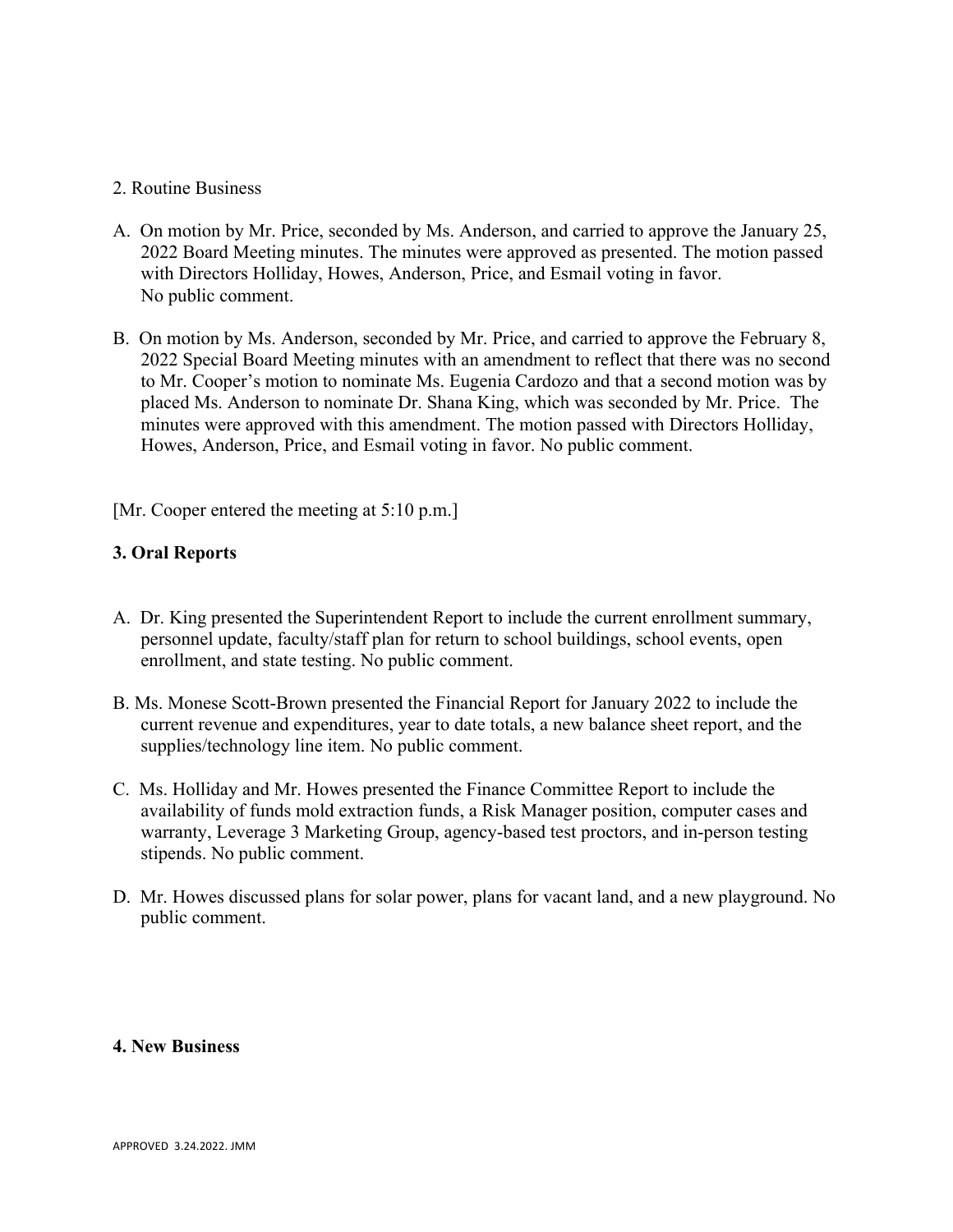### 2. Routine Business

- A. On motion by Mr. Price, seconded by Ms. Anderson, and carried to approve the January 25, 2022 Board Meeting minutes. The minutes were approved as presented. The motion passed with Directors Holliday, Howes, Anderson, Price, and Esmail voting in favor. No public comment.
- B. On motion by Ms. Anderson, seconded by Mr. Price, and carried to approve the February 8, 2022 Special Board Meeting minutes with an amendment to reflect that there was no second to Mr. Cooper's motion to nominate Ms. Eugenia Cardozo and that a second motion was by placed Ms. Anderson to nominate Dr. Shana King, which was seconded by Mr. Price. The minutes were approved with this amendment. The motion passed with Directors Holliday, Howes, Anderson, Price, and Esmail voting in favor. No public comment.

[Mr. Cooper entered the meeting at 5:10 p.m.]

# **3. Oral Reports**

- A. Dr. King presented the Superintendent Report to include the current enrollment summary, personnel update, faculty/staff plan for return to school buildings, school events, open enrollment, and state testing. No public comment.
- B. Ms. Monese Scott-Brown presented the Financial Report for January 2022 to include the current revenue and expenditures, year to date totals, a new balance sheet report, and the supplies/technology line item. No public comment.
- C. Ms. Holliday and Mr. Howes presented the Finance Committee Report to include the availability of funds mold extraction funds, a Risk Manager position, computer cases and warranty, Leverage 3 Marketing Group, agency-based test proctors, and in-person testing stipends. No public comment.
- D. Mr. Howes discussed plans for solar power, plans for vacant land, and a new playground. No public comment.

#### **4. New Business**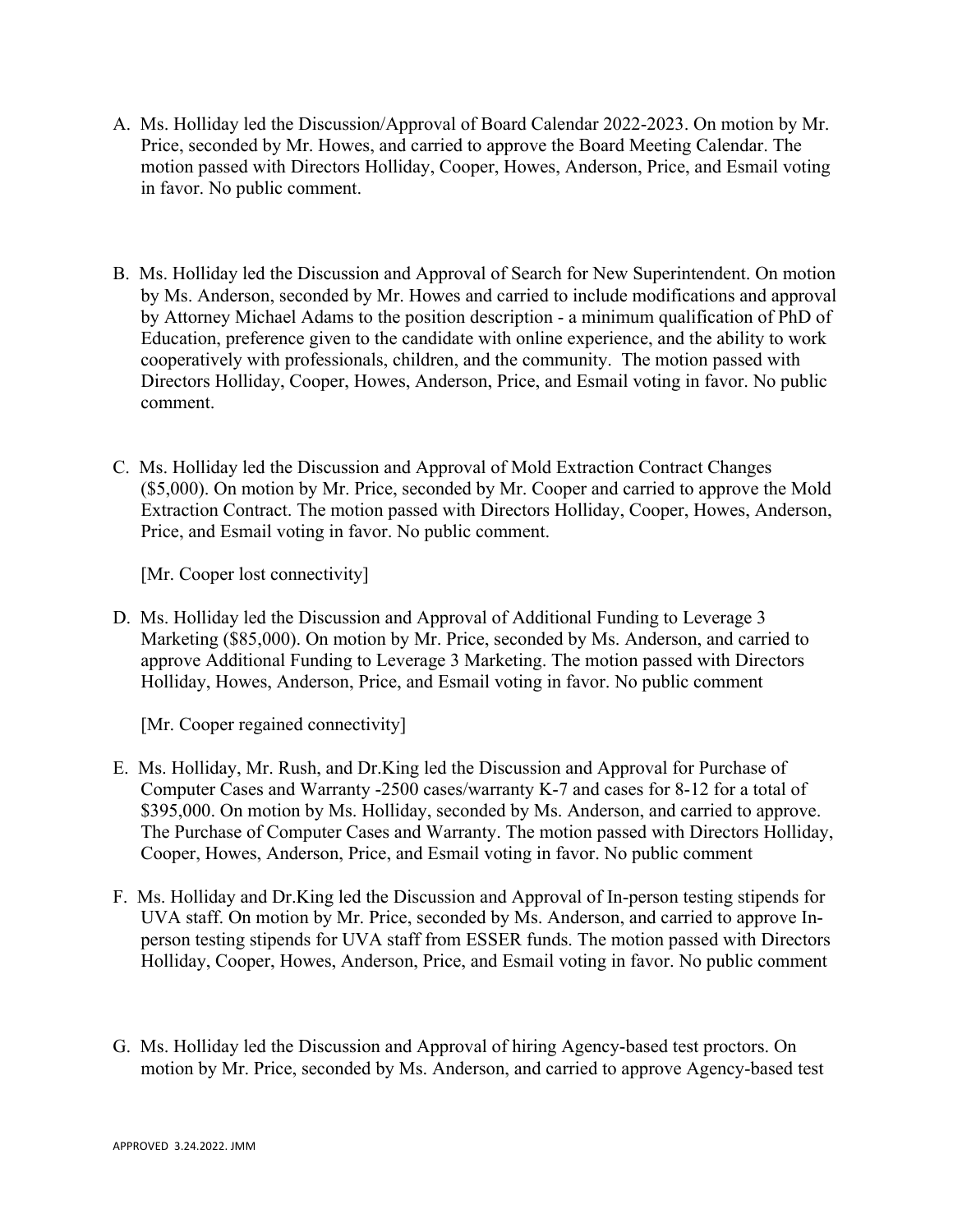- A. Ms. Holliday led the Discussion/Approval of Board Calendar 2022-2023. On motion by Mr. Price, seconded by Mr. Howes, and carried to approve the Board Meeting Calendar. The motion passed with Directors Holliday, Cooper, Howes, Anderson, Price, and Esmail voting in favor. No public comment.
- B. Ms. Holliday led the Discussion and Approval of Search for New Superintendent. On motion by Ms. Anderson, seconded by Mr. Howes and carried to include modifications and approval by Attorney Michael Adams to the position description - a minimum qualification of PhD of Education, preference given to the candidate with online experience, and the ability to work cooperatively with professionals, children, and the community. The motion passed with Directors Holliday, Cooper, Howes, Anderson, Price, and Esmail voting in favor. No public comment.
- C. Ms. Holliday led the Discussion and Approval of Mold Extraction Contract Changes (\$5,000). On motion by Mr. Price, seconded by Mr. Cooper and carried to approve the Mold Extraction Contract. The motion passed with Directors Holliday, Cooper, Howes, Anderson, Price, and Esmail voting in favor. No public comment.

[Mr. Cooper lost connectivity]

D. Ms. Holliday led the Discussion and Approval of Additional Funding to Leverage 3 Marketing (\$85,000). On motion by Mr. Price, seconded by Ms. Anderson, and carried to approve Additional Funding to Leverage 3 Marketing. The motion passed with Directors Holliday, Howes, Anderson, Price, and Esmail voting in favor. No public comment

[Mr. Cooper regained connectivity]

- E. Ms. Holliday, Mr. Rush, and Dr.King led the Discussion and Approval for Purchase of Computer Cases and Warranty -2500 cases/warranty K-7 and cases for 8-12 for a total of \$395,000. On motion by Ms. Holliday, seconded by Ms. Anderson, and carried to approve. The Purchase of Computer Cases and Warranty. The motion passed with Directors Holliday, Cooper, Howes, Anderson, Price, and Esmail voting in favor. No public comment
- F. Ms. Holliday and Dr.King led the Discussion and Approval of In-person testing stipends for UVA staff. On motion by Mr. Price, seconded by Ms. Anderson, and carried to approve Inperson testing stipends for UVA staff from ESSER funds. The motion passed with Directors Holliday, Cooper, Howes, Anderson, Price, and Esmail voting in favor. No public comment
- G. Ms. Holliday led the Discussion and Approval of hiring Agency-based test proctors. On motion by Mr. Price, seconded by Ms. Anderson, and carried to approve Agency-based test